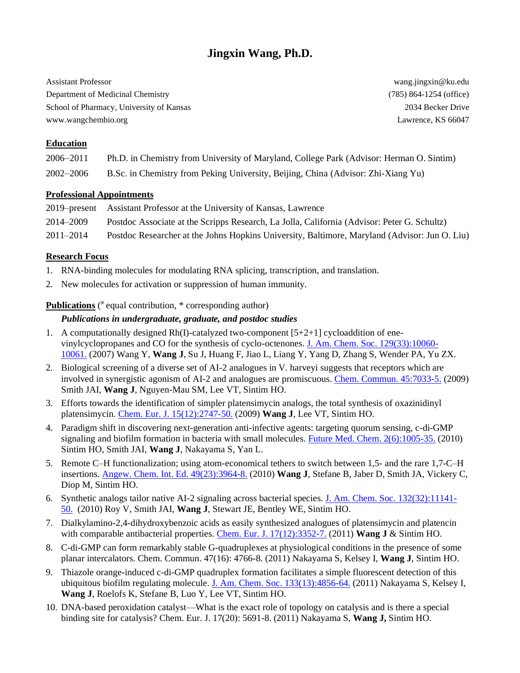# **Jingxin Wang, Ph.D.**

Assistant Professor wang.jingxin@ku.edu Department of Medicinal Chemistry (785) 864-1254 (office) School of Pharmacy, University of Kansas 2034 Becker Drive 2034 Becker Drive www.wangchembio.org Lawrence, KS 66047

### **Education**

| 2006–2011 | Ph.D. in Chemistry from University of Maryland, College Park (Advisor: Herman O. Sintim) |  |
|-----------|------------------------------------------------------------------------------------------|--|
|           |                                                                                          |  |

## 2002–2006 B.Sc. in Chemistry from Peking University, Beijing, China (Advisor: Zhi-Xiang Yu)

### **Professional Appointments**

|           | 2019–present Assistant Professor at the University of Kansas, Lawrence                        |
|-----------|-----------------------------------------------------------------------------------------------|
| 2014–2009 | Postdoc Associate at the Scripps Research, La Jolla, California (Advisor: Peter G. Schultz)   |
| 2011–2014 | Postdoc Researcher at the Johns Hopkins University, Baltimore, Maryland (Advisor: Jun O. Liu) |

### **Research Focus**

- 1. RNA-binding molecules for modulating RNA splicing, transcription, and translation.
- 2. New molecules for activation or suppression of human immunity.

### **Publications** (<sup>#</sup> equal contribution, \* corresponding author)

### *Publications in undergraduate, graduate, and postdoc studies*

- 1. A computationally designed  $Rh(I)$ -catalyzed two-component  $[5+2+1]$  cycloaddition of enevinylcyclopropanes and CO for the synthesis of cyclo-octenones. [J. Am. Chem. Soc. 129\(33\):10060-](https://www.ncbi.nlm.nih.gov/pubmed/17655302) [10061.](https://www.ncbi.nlm.nih.gov/pubmed/17655302) (2007) Wang Y, **Wang J**, Su J, Huang F, Jiao L, Liang Y, Yang D, Zhang S, Wender PA, Yu ZX.
- 2. Biological screening of a diverse set of AI-2 analogues in V. harveyi suggests that receptors which are involved in synergistic agonism of AI-2 and analogues are promiscuous. [Chem. Commun. 45:7033-5.](https://www.ncbi.nlm.nih.gov/pubmed/19904385) (2009) Smith JAI, **Wang J**, Nguyen-Mau SM, Lee VT, Sintim HO.
- 3. Efforts towards the identification of simpler platensimycin analogs, the total synthesis of oxazinidinyl platensimycin. [Chem. Eur. J. 15\(12\):2747-50.](https://www.ncbi.nlm.nih.gov/pubmed/19212990) (2009) **Wang J**, Lee VT, Sintim HO.
- 4. Paradigm shift in discovering next-generation anti-infective agents: targeting quorum sensing, c-di-GMP signaling and biofilm formation in bacteria with small molecules. [Future Med. Chem. 2\(6\):1005-35.](https://www.ncbi.nlm.nih.gov/pubmed/21426116) (2010) Sintim HO, Smith JAI, **Wang J**, Nakayama S, Yan L.
- 5. Remote C–H functionalization; using atom-economical tethers to switch between 1,5- and the rare 1,7-C–H insertions. [Angew. Chem. Int. Ed. 49\(23\):3964-8.](https://www.ncbi.nlm.nih.gov/pubmed/20401885) (2010) **Wang J**, Stefane B, Jaber D, Smith JA, Vickery C, Diop M, Sintim HO.
- 6. Synthetic analogs tailor native AI-2 signaling across bacterial species. [J. Am. Chem. Soc. 132\(32\):11141-](https://www.ncbi.nlm.nih.gov/pubmed/20698680) [50.](https://www.ncbi.nlm.nih.gov/pubmed/20698680) (2010) Roy V, Smith JAI, **Wang J**, Stewart JE, Bentley WE, Sintim HO.
- 7. Dialkylamino-2,4-dihydroxybenzoic acids as easily synthesized analogues of platensimycin and platencin with comparable antibacterial properties. [Chem. Eur. J. 17\(12\):3352-7.](https://www.ncbi.nlm.nih.gov/pubmed/21322068) (2011) **Wang J** & Sintim HO.
- 8. C-di-GMP can form remarkably stable G-quadruplexes at physiological conditions in the presence of some planar intercalators. Chem. Commun. 47(16): 4766-8. (2011) Nakayama S, Kelsey I, **Wang J**, Sintim HO.
- 9. Thiazole orange-induced c-di-GMP quadruplex formation facilitates a simple fluorescent detection of this ubiquitous biofilm regulating molecule. [J. Am. Chem. Soc. 133\(13\):4856-64.](https://www.ncbi.nlm.nih.gov/pubmed/21384923) (2011) Nakayama S, Kelsey I, **Wang J**, Roelofs K, Stefane B, Luo Y, Lee VT, Sintim HO.
- 10. DNA-based peroxidation catalyst—What is the exact role of topology on catalysis and is there a special binding site for catalysis? Chem. Eur. J. 17(20): 5691-8. (2011) Nakayama S, **Wang J,** Sintim HO.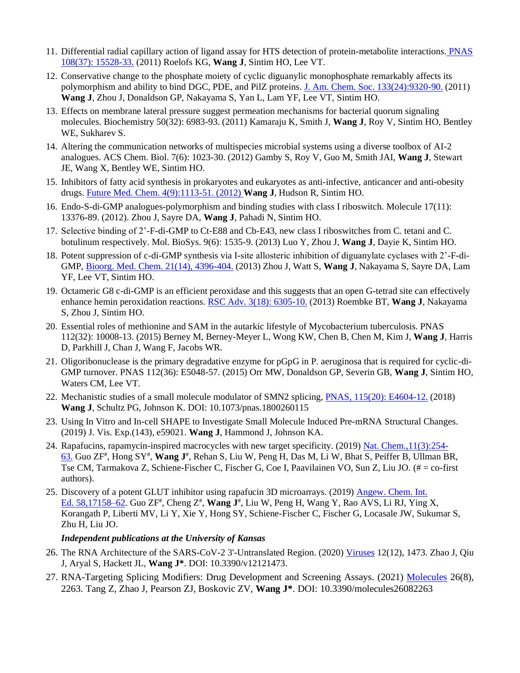- 11. Differential radial capillary action of ligand assay for HTS detection of protein-metabolite interactions. [PNAS](https://www.ncbi.nlm.nih.gov/pubmed/21876132)  [108\(37\): 15528-33.](https://www.ncbi.nlm.nih.gov/pubmed/21876132) (2011) Roelofs KG, **Wang J**, Sintim HO, Lee VT.
- 12. Conservative change to the phosphate moiety of cyclic diguanylic monophosphate remarkably affects its polymorphism and ability to bind DGC, PDE, and PilZ proteins. [J. Am. Chem. Soc. 133\(24\):9320-90.](https://pubs.acs.org/doi/abs/10.1021/ja1112029) (2011) **Wang J**, Zhou J, Donaldson GP, Nakayama S, Yan L, Lam YF, Lee VT, Sintim HO.
- 13. Effects on membrane lateral pressure suggest permeation mechanisms for bacterial quorum signaling molecules. Biochemistry 50(32): 6983-93. (2011) Kamaraju K, Smith J, **Wang J**, Roy V, Sintim HO, Bentley WE, Sukharev S.
- 14. Altering the communication networks of multispecies microbial systems using a diverse toolbox of AI-2 analogues. ACS Chem. Biol. 7(6): 1023-30. (2012) Gamby S, Roy V, Guo M, Smith JAI, **Wang J**, Stewart JE, Wang X, Bentley WE, Sintim HO.
- 15. Inhibitors of fatty acid synthesis in prokaryotes and eukaryotes as anti-infective, anticancer and anti-obesity drugs. [Future Med. Chem. 4\(9\):1113-51.](https://www.ncbi.nlm.nih.gov/pubmed/22709254) (2012) **Wang J**, Hudson R, Sintim HO.
- 16. Endo-S-di-GMP analogues-polymorphism and binding studies with class I riboswitch. Molecule 17(11): 13376-89. (2012). Zhou J, Sayre DA, **Wang J**, Pahadi N, Sintim HO.
- 17. Selective binding of 2'-F-di-GMP to Ct-E88 and Cb-E43, new class I riboswitches from C. tetani and C. botulinum respectively. Mol. BioSys. 9(6): 1535-9. (2013) Luo Y, Zhou J, **Wang J**, Dayie K, Sintim HO.
- 18. Potent suppression of c-di-GMP synthesis via I-site allosteric inhibition of diguanylate cyclases with 2'-F-di-GMP, [Bioorg. Med. Chem. 21\(14\), 4396-404.](https://www.ncbi.nlm.nih.gov/pubmed/23685177) (2013) Zhou J, Watt S, **Wang J**, Nakayama S, Sayre DA, Lam YF, Lee VT, Sintim HO.
- 19. Octameric G8 c-di-GMP is an efficient peroxidase and this suggests that an open G-tetrad site can effectively enhance hemin peroxidation reactions. [RSC Adv. 3\(18\): 6305-10.](https://pubs.rsc.org/en/content/articlelanding/2013/ra/c3ra23308a#!divAbstract) (2013) Roembke BT, **Wang J**, Nakayama S, Zhou J, Sintim HO.
- 20. Essential roles of methionine and SAM in the autarkic lifestyle of Mycobacterium tuberculosis. PNAS 112(32): 10008-13. (2015) Berney M, Berney-Meyer L, Wong KW, Chen B, Chen M, Kim J, **Wang J**, Harris D, Parkhill J, Chan J, Wang F, Jacobs WR.
- 21. Oligoribonuclease is the primary degradative enzyme for pGpG in P. aeruginosa that is required for cyclic-di-GMP turnover. PNAS 112(36): E5048-57. (2015) Orr MW, Donaldson GP, Severin GB, **Wang J**, Sintim HO, Waters CM, Lee VT.
- 22. Mechanistic studies of a small molecule modulator of SMN2 splicing, [PNAS, 115\(20\): E4604-12.](https://www.ncbi.nlm.nih.gov/pubmed/29712837) (2018) **Wang J**, Schultz PG, Johnson K. DOI: 10.1073/pnas.1800260115
- 23. Using In Vitro and In-cell SHAPE to Investigate Small Molecule Induced Pre-mRNA Structural Changes. (2019) J. Vis. Exp.(143), e59021. **Wang J**, Hammond J, Johnson KA.
- 24. Rapafucins, rapamycin-inspired macrocycles with new target specificity. (2019) [Nat. Chem.,11\(3\):254-](https://www.ncbi.nlm.nih.gov/pubmed/30532015) [63.](https://www.ncbi.nlm.nih.gov/pubmed/30532015) Guo ZF<sup>#</sup>, Hong SY<sup>#</sup>, Wang J<sup>#</sup>, Rehan S, Liu W, Peng H, Das M, Li W, Bhat S, Peiffer B, Ullman BR, Tse CM, Tarmakova Z, Schiene-Fischer C, Fischer G, Coe I, Paavilainen VO, Sun Z, Liu JO. (# = co-first authors).
- 25. Discovery of a potent GLUT inhibitor using rapafucin 3D microarrays. (2019) [Angew. Chem. Int.](https://www.ncbi.nlm.nih.gov/pubmed/31591797)  Ed. [58,17158–62.](https://www.ncbi.nlm.nih.gov/pubmed/31591797) Guo ZF<sup>#</sup>, Cheng Z<sup>#</sup>, Wang J<sup>#</sup>, Liu W, Peng H, Wang Y, Rao AVS, Li RJ, Ying X, Korangath P, Liberti MV, Li Y, Xie Y, Hong SY, Schiene-Fischer C, Fischer G, Locasale JW, Sukumar S, Zhu H, Liu JO.

### *Independent publications at the University of Kansas*

- 26. The RNA Architecture of the SARS-CoV-2 3'-Untranslated Region. (2020) [Viruses](https://www.mdpi.com/1999-4915/12/12/1473) 12(12), 1473. Zhao J, Qiu J, Aryal S, Hackett JL, **Wang J\***. DOI: 10.3390/v12121473.
- 27. RNA-Targeting Splicing Modifiers: Drug Development and Screening Assays. (2021) [Molecules](https://www.mdpi.com/1420-3049/26/8/2263) 26(8), 2263. Tang Z, Zhao J, Pearson ZJ, Boskovic ZV, **Wang J\***. DOI: 10.3390/molecules26082263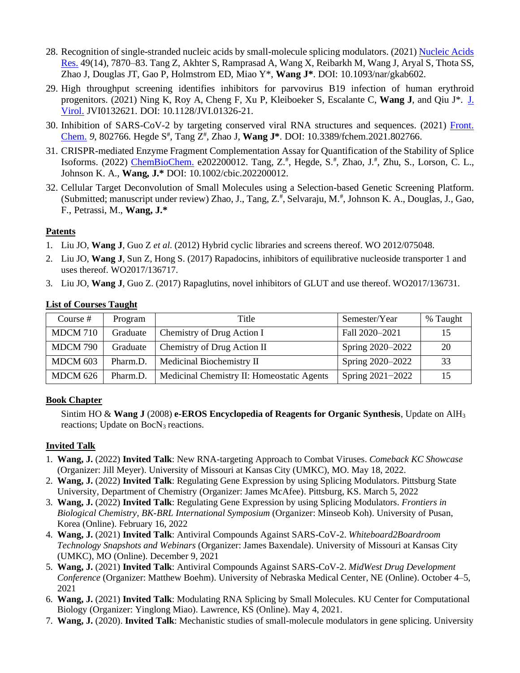- 28. Recognition of single-stranded nucleic acids by small-molecule splicing modulators. (2021) [Nucleic](https://academic.oup.com/nar/advance-article/doi/10.1093/nar/gkab602/6324615) Acids [Res.](https://academic.oup.com/nar/advance-article/doi/10.1093/nar/gkab602/6324615) 49(14), 7870–83. Tang Z, Akhter S, Ramprasad A, Wang X, Reibarkh M, Wang J, Aryal S, Thota SS, Zhao J, Douglas JT, Gao P, Holmstrom ED, Miao Y\*, **Wang J\***. DOI: 10.1093/nar/gkab602.
- 29. High throughput screening identifies inhibitors for parvovirus B19 infection of human erythroid progenitors. (2021) Ning K, Roy A, Cheng F, Xu P, Kleiboeker S, Escalante C, **Wang J**, and Qiu J\*. [J.](https://journals.asm.org/doi/abs/10.1128/JVI.01326-21) [Virol.](https://journals.asm.org/doi/abs/10.1128/JVI.01326-21) JVI0132621. DOI: 10.1128/JVI.01326-21.
- 30. Inhibition of SARS-CoV-2 by targeting conserved viral RNA structures and sequences. (2021) [Front.](https://www.frontiersin.org/articles/10.3389/fchem.2021.802766/full) [Chem.](https://www.frontiersin.org/articles/10.3389/fchem.2021.802766/full) *9*, 802766. Hegde S # , Tang Z # , Zhao J, **Wang J\***. DOI: 10.3389/fchem.2021.802766.
- 31. CRISPR-mediated Enzyme Fragment Complementation Assay for Quantification of the Stability of Splice Isoforms. (2022) <u>[ChemBioChem.](https://chemistry-europe.onlinelibrary.wiley.com/doi/abs/10.1002/cbic.202200012)</u> e202200012. Tang, Z.<sup>#</sup>, Hegde, S.<sup>#</sup>, Zhao, J.<sup>#</sup>, Zhu, S., Lorson, C. L., Johnson K. A., **Wang, J.\*** DOI: 10.1002/cbic.202200012.
- 32. Cellular Target Deconvolution of Small Molecules using a Selection-based Genetic Screening Platform. (Submitted; manuscript under review) Zhao, J., Tang, Z.<sup>#</sup>, Selvaraju, M.<sup>#</sup>, Johnson K. A., Douglas, J., Gao, F., Petrassi, M., **Wang, J.\***

#### **Patents**

- 1. Liu JO, **Wang J**, Guo Z *et al*. (2012) Hybrid cyclic libraries and screens thereof. WO 2012/075048.
- 2. Liu JO, **Wang J**, Sun Z, Hong S. (2017) Rapadocins, inhibitors of equilibrative nucleoside transporter 1 and uses thereof. WO2017/136717.
- 3. Liu JO, **Wang J**, Guo Z. (2017) Rapaglutins, novel inhibitors of GLUT and use thereof. WO2017/136731.

| Course $#$      | Program  | Title                                      | Semester/Year    | % Taught |
|-----------------|----------|--------------------------------------------|------------------|----------|
| <b>MDCM 710</b> | Graduate | Chemistry of Drug Action I                 | Fall 2020-2021   | 15       |
| <b>MDCM 790</b> | Graduate | Chemistry of Drug Action II                | Spring 2020–2022 | 20       |
| MDCM 603        | Pharm.D. | Medicinal Biochemistry II                  | Spring 2020–2022 | 33       |
| <b>MDCM 626</b> | Pharm.D. | Medicinal Chemistry II: Homeostatic Agents | Spring 2021-2022 | 15       |

#### **List of Courses Taught**

### **Book Chapter**

Sintim HO & **Wang J** (2008) **e-EROS Encyclopedia of Reagents for Organic Synthesis**, Update on AlH<sup>3</sup> reactions; Update on  $BocN<sub>3</sub>$  reactions.

### **Invited Talk**

- 1. **Wang, J.** (2022) **Invited Talk**: New RNA-targeting Approach to Combat Viruses. *Comeback KC Showcase*  (Organizer: Jill Meyer). University of Missouri at Kansas City (UMKC), MO. May 18, 2022.
- 2. **Wang, J.** (2022) **Invited Talk**: Regulating Gene Expression by using Splicing Modulators. Pittsburg State University, Department of Chemistry (Organizer: James McAfee). Pittsburg, KS. March 5, 2022
- 3. **Wang, J.** (2022) **Invited Talk**: Regulating Gene Expression by using Splicing Modulators. *Frontiers in Biological Chemistry, BK-BRL International Symposium* (Organizer: Minseob Koh). University of Pusan, Korea (Online). February 16, 2022
- 4. **Wang, J.** (2021) **Invited Talk**: Antiviral Compounds Against SARS-CoV-2. *Whiteboard2Boardroom Technology Snapshots and Webinars* (Organizer: James Baxendale). University of Missouri at Kansas City (UMKC), MO (Online). December 9, 2021
- 5. **Wang, J.** (2021) **Invited Talk**: Antiviral Compounds Against SARS-CoV-2. *MidWest Drug Development Conference* (Organizer: Matthew Boehm). University of Nebraska Medical Center, NE (Online). October 4–5, 2021
- 6. **Wang, J.** (2021) **Invited Talk**: Modulating RNA Splicing by Small Molecules. KU Center for Computational Biology (Organizer: Yinglong Miao). Lawrence, KS (Online). May 4, 2021.
- 7. **Wang, J.** (2020). **Invited Talk**: Mechanistic studies of small-molecule modulators in gene splicing. University